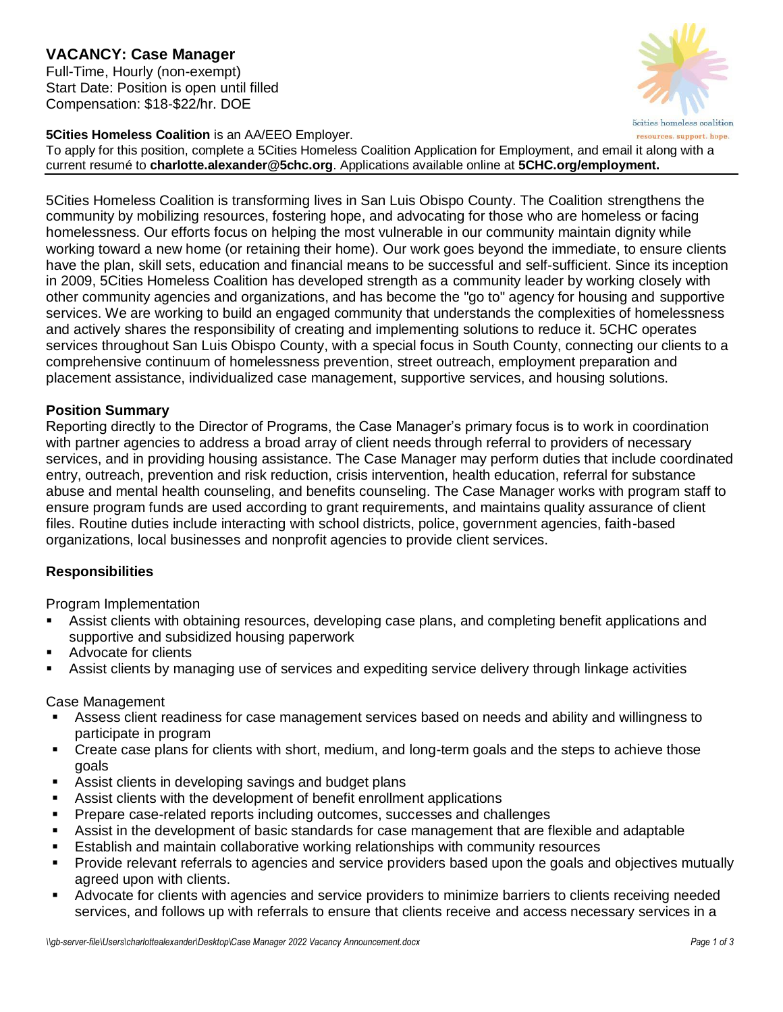### **VACANCY: Case Manager** Full-Time, Hourly (non-exempt) Start Date: Position is open until filled Compensation: \$18-\$22/hr. DOE



**5cities** homeless coalition resources. support. hope.

To apply for this position, complete a 5Cities Homeless Coalition Application for Employment, and email it along with a current resumé to **charlotte.alexander@5chc.org**. Applications available online at **5CHC.org/employment.**

5Cities Homeless Coalition is transforming lives in San Luis Obispo County. The Coalition strengthens the community by mobilizing resources, fostering hope, and advocating for those who are homeless or facing homelessness. Our efforts focus on helping the most vulnerable in our community maintain dignity while working toward a new home (or retaining their home). Our work goes beyond the immediate, to ensure clients have the plan, skill sets, education and financial means to be successful and self-sufficient. Since its inception in 2009, 5Cities Homeless Coalition has developed strength as a community leader by working closely with other community agencies and organizations, and has become the "go to" agency for housing and supportive services. We are working to build an engaged community that understands the complexities of homelessness and actively shares the responsibility of creating and implementing solutions to reduce it. 5CHC operates services throughout San Luis Obispo County, with a special focus in South County, connecting our clients to a comprehensive continuum of homelessness prevention, street outreach, employment preparation and placement assistance, individualized case management, supportive services, and housing solutions.

# **Position Summary**

Reporting directly to the Director of Programs, the Case Manager's primary focus is to work in coordination with partner agencies to address a broad array of client needs through referral to providers of necessary services, and in providing housing assistance. The Case Manager may perform duties that include coordinated entry, outreach, prevention and risk reduction, crisis intervention, health education, referral for substance abuse and mental health counseling, and benefits counseling. The Case Manager works with program staff to ensure program funds are used according to grant requirements, and maintains quality assurance of client files. Routine duties include interacting with school districts, police, government agencies, faith-based organizations, local businesses and nonprofit agencies to provide client services.

## **Responsibilities**

Program Implementation

- Assist clients with obtaining resources, developing case plans, and completing benefit applications and supportive and subsidized housing paperwork
- **Advocate for clients**
- Assist clients by managing use of services and expediting service delivery through linkage activities

#### Case Management

- Assess client readiness for case management services based on needs and ability and willingness to participate in program
- Create case plans for clients with short, medium, and long-term goals and the steps to achieve those goals
- Assist clients in developing savings and budget plans
- Assist clients with the development of benefit enrollment applications
- **Prepare case-related reports including outcomes, successes and challenges**
- Assist in the development of basic standards for case management that are flexible and adaptable
- Establish and maintain collaborative working relationships with community resources
- Provide relevant referrals to agencies and service providers based upon the goals and objectives mutually agreed upon with clients.
- Advocate for clients with agencies and service providers to minimize barriers to clients receiving needed services, and follows up with referrals to ensure that clients receive and access necessary services in a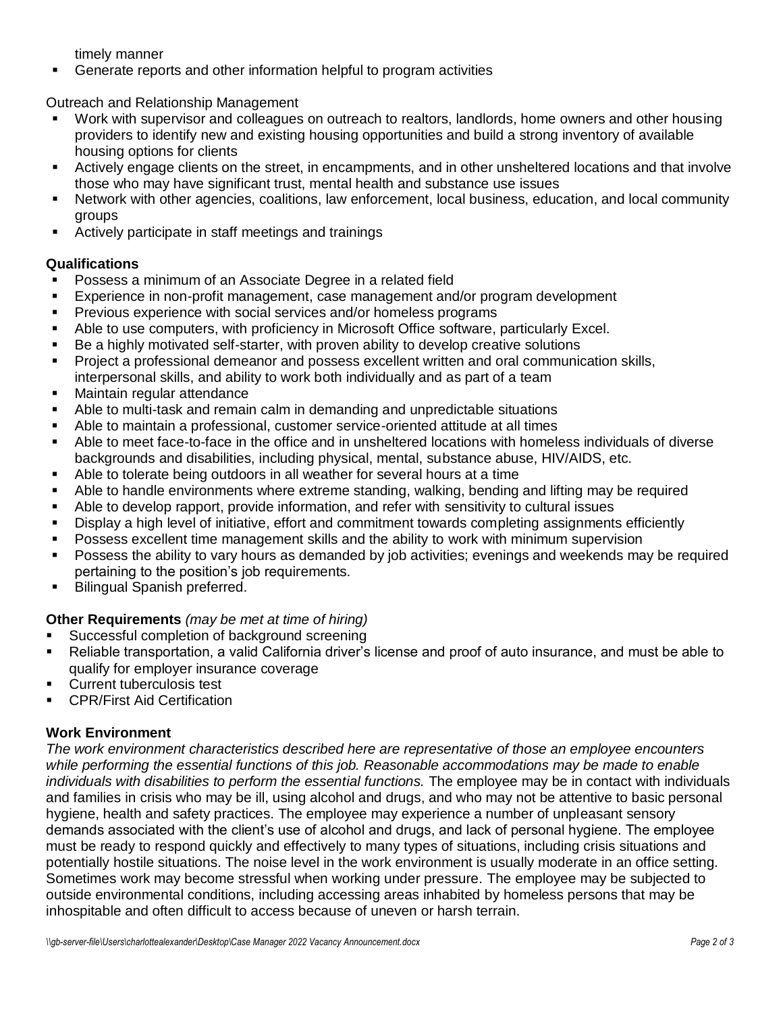timely manner

Generate reports and other information helpful to program activities

Outreach and Relationship Management

- Work with supervisor and colleagues on outreach to realtors, landlords, home owners and other housing providers to identify new and existing housing opportunities and build a strong inventory of available housing options for clients
- Actively engage clients on the street, in encampments, and in other unsheltered locations and that involve those who may have significant trust, mental health and substance use issues
- Network with other agencies, coalitions, law enforcement, local business, education, and local community groups
- Actively participate in staff meetings and trainings

# **Qualifications**

- Possess a minimum of an Associate Degree in a related field
- Experience in non-profit management, case management and/or program development
- **Previous experience with social services and/or homeless programs**
- Able to use computers, with proficiency in Microsoft Office software, particularly Excel.
- Be a highly motivated self-starter, with proven ability to develop creative solutions
- Project a professional demeanor and possess excellent written and oral communication skills, interpersonal skills, and ability to work both individually and as part of a team
- **Maintain regular attendance**
- Able to multi-task and remain calm in demanding and unpredictable situations
- Able to maintain a professional, customer service-oriented attitude at all times
- Able to meet face-to-face in the office and in unsheltered locations with homeless individuals of diverse backgrounds and disabilities, including physical, mental, substance abuse, HIV/AIDS, etc.
- Able to tolerate being outdoors in all weather for several hours at a time
- Able to handle environments where extreme standing, walking, bending and lifting may be required
- Able to develop rapport, provide information, and refer with sensitivity to cultural issues
- Display a high level of initiative, effort and commitment towards completing assignments efficiently
- Possess excellent time management skills and the ability to work with minimum supervision
- Possess the ability to vary hours as demanded by job activities; evenings and weekends may be required pertaining to the position's job requirements.
- Bilingual Spanish preferred.

## **Other Requirements** *(may be met at time of hiring)*

- **Successful completion of background screening**
- Reliable transportation, a valid California driver's license and proof of auto insurance, and must be able to qualify for employer insurance coverage
- **Current tuberculosis test**
- CPR/First Aid Certification

## **Work Environment**

*The work environment characteristics described here are representative of those an employee encounters while performing the essential functions of this job. Reasonable accommodations may be made to enable individuals with disabilities to perform the essential functions.* The employee may be in contact with individuals and families in crisis who may be ill, using alcohol and drugs, and who may not be attentive to basic personal hygiene, health and safety practices. The employee may experience a number of unpleasant sensory demands associated with the client's use of alcohol and drugs, and lack of personal hygiene. The employee must be ready to respond quickly and effectively to many types of situations, including crisis situations and potentially hostile situations. The noise level in the work environment is usually moderate in an office setting. Sometimes work may become stressful when working under pressure. The employee may be subjected to outside environmental conditions, including accessing areas inhabited by homeless persons that may be inhospitable and often difficult to access because of uneven or harsh terrain.